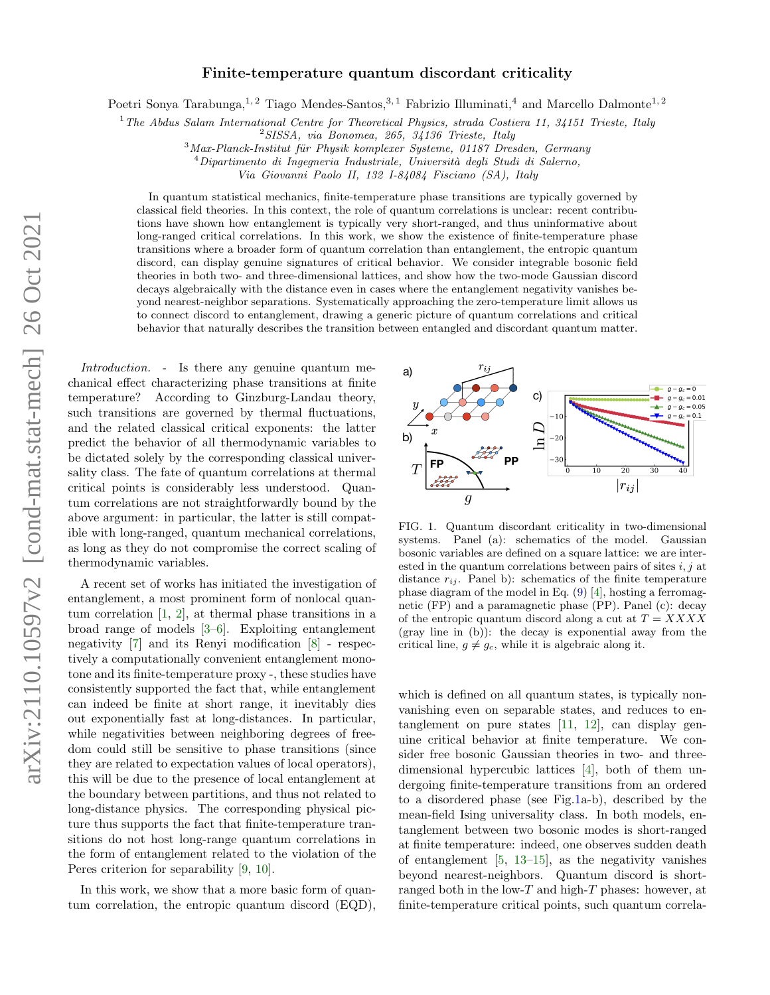## Finite-temperature quantum discordant criticality

Poetri Sonya Tarabunga,<sup>1, 2</sup> Tiago Mendes-Santos,<sup>3, 1</sup> Fabrizio Illuminati,<sup>4</sup> and Marcello Dalmonte<sup>1, 2</sup>

 $1$ <sup>1</sup>The Abdus Salam International Centre for Theoretical Physics, strada Costiera 11, 34151 Trieste, Italy

 $3$ Max-Planck-Institut für Physik komplexer Systeme, 01187 Dresden, Germany

 $4$ Dipartimento di Ingegneria Industriale, Università degli Studi di Salerno,

Via Giovanni Paolo II, 132 I-84084 Fisciano (SA), Italy

In quantum statistical mechanics, finite-temperature phase transitions are typically governed by classical field theories. In this context, the role of quantum correlations is unclear: recent contributions have shown how entanglement is typically very short-ranged, and thus uninformative about long-ranged critical correlations. In this work, we show the existence of finite-temperature phase transitions where a broader form of quantum correlation than entanglement, the entropic quantum discord, can display genuine signatures of critical behavior. We consider integrable bosonic field theories in both two- and three-dimensional lattices, and show how the two-mode Gaussian discord decays algebraically with the distance even in cases where the entanglement negativity vanishes beyond nearest-neighbor separations. Systematically approaching the zero-temperature limit allows us to connect discord to entanglement, drawing a generic picture of quantum correlations and critical behavior that naturally describes the transition between entangled and discordant quantum matter.

Introduction. - Is there any genuine quantum mechanical effect characterizing phase transitions at finite temperature? According to Ginzburg-Landau theory, such transitions are governed by thermal fluctuations, and the related classical critical exponents: the latter predict the behavior of all thermodynamic variables to be dictated solely by the corresponding classical universality class. The fate of quantum correlations at thermal critical points is considerably less understood. Quantum correlations are not straightforwardly bound by the above argument: in particular, the latter is still compatible with long-ranged, quantum mechanical correlations, as long as they do not compromise the correct scaling of thermodynamic variables.

A recent set of works has initiated the investigation of entanglement, a most prominent form of nonlocal quantum correlation [\[1,](#page-4-0) [2\]](#page-4-1), at thermal phase transitions in a broad range of models [\[3](#page-4-2)[–6\]](#page-4-3). Exploiting entanglement negativity [\[7\]](#page-4-4) and its Renyi modification [\[8\]](#page-4-5) - respectively a computationally convenient entanglement monotone and its finite-temperature proxy -, these studies have consistently supported the fact that, while entanglement can indeed be finite at short range, it inevitably dies out exponentially fast at long-distances. In particular, while negativities between neighboring degrees of freedom could still be sensitive to phase transitions (since they are related to expectation values of local operators), this will be due to the presence of local entanglement at the boundary between partitions, and thus not related to long-distance physics. The corresponding physical picture thus supports the fact that finite-temperature transitions do not host long-range quantum correlations in the form of entanglement related to the violation of the Peres criterion for separability [\[9,](#page-4-6) [10\]](#page-4-7).

In this work, we show that a more basic form of quantum correlation, the entropic quantum discord (EQD),



<span id="page-0-0"></span>FIG. 1. Quantum discordant criticality in two-dimensional systems. Panel (a): schematics of the model. Gaussian bosonic variables are defined on a square lattice: we are interested in the quantum correlations between pairs of sites  $i, j$  at distance  $r_{ij}$ . Panel b): schematics of the finite temperature phase diagram of the model in Eq. [\(9\)](#page-2-0) [\[4\]](#page-4-8), hosting a ferromagnetic (FP) and a paramagnetic phase (PP). Panel (c): decay of the entropic quantum discord along a cut at  $T = XXXX$ (gray line in (b)): the decay is exponential away from the critical line,  $g \neq g_c$ , while it is algebraic along it.

which is defined on all quantum states, is typically nonvanishing even on separable states, and reduces to entanglement on pure states [\[11,](#page-4-9) [12\]](#page-4-10), can display genuine critical behavior at finite temperature. We consider free bosonic Gaussian theories in two- and threedimensional hypercubic lattices [\[4\]](#page-4-8), both of them undergoing finite-temperature transitions from an ordered to a disordered phase (see Fig[.1a](#page-0-0)-b), described by the mean-field Ising universality class. In both models, entanglement between two bosonic modes is short-ranged at finite temperature: indeed, one observes sudden death of entanglement [\[5,](#page-4-11) [13–](#page-4-12)[15\]](#page-4-13), as the negativity vanishes beyond nearest-neighbors. Quantum discord is shortranged both in the low- $T$  and high- $T$  phases: however, at finite-temperature critical points, such quantum correla-

 $2$  SISSA, via Bonomea, 265, 34136 Trieste, Italy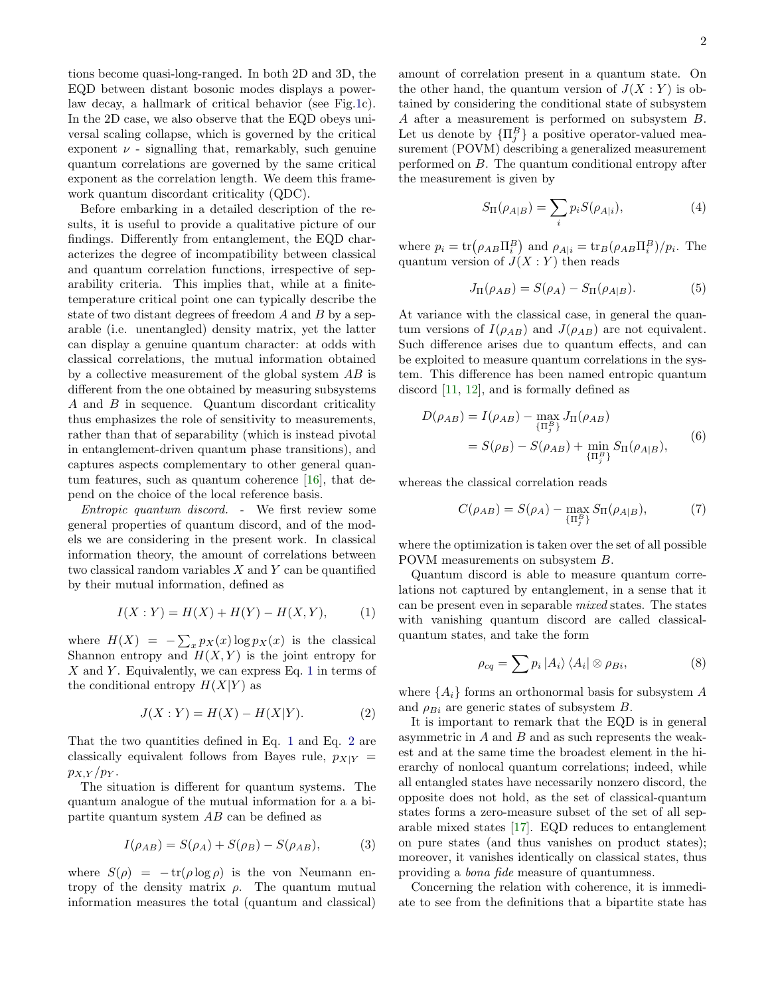tions become quasi-long-ranged. In both 2D and 3D, the EQD between distant bosonic modes displays a powerlaw decay, a hallmark of critical behavior (see Fig[.1c](#page-0-0)). In the 2D case, we also observe that the EQD obeys universal scaling collapse, which is governed by the critical exponent  $\nu$  - signalling that, remarkably, such genuine quantum correlations are governed by the same critical exponent as the correlation length. We deem this framework quantum discordant criticality (QDC).

Before embarking in a detailed description of the results, it is useful to provide a qualitative picture of our findings. Differently from entanglement, the EQD characterizes the degree of incompatibility between classical and quantum correlation functions, irrespective of separability criteria. This implies that, while at a finitetemperature critical point one can typically describe the state of two distant degrees of freedom A and B by a separable (i.e. unentangled) density matrix, yet the latter can display a genuine quantum character: at odds with classical correlations, the mutual information obtained by a collective measurement of the global system AB is different from the one obtained by measuring subsystems A and B in sequence. Quantum discordant criticality thus emphasizes the role of sensitivity to measurements, rather than that of separability (which is instead pivotal in entanglement-driven quantum phase transitions), and captures aspects complementary to other general quantum features, such as quantum coherence [\[16\]](#page-4-14), that depend on the choice of the local reference basis.

Entropic quantum discord. - We first review some general properties of quantum discord, and of the models we are considering in the present work. In classical information theory, the amount of correlations between two classical random variables X and Y can be quantified by their mutual information, defined as

<span id="page-1-0"></span>
$$
I(X:Y) = H(X) + H(Y) - H(X,Y), \tag{1}
$$

where  $H(X) = -\sum_{x} p_X(x) \log p_X(x)$  is the classical Shannon entropy and  $H(X, Y)$  is the joint entropy for  $X$  and  $Y$ . Equivalently, we can express Eq. [1](#page-1-0) in terms of the conditional entropy  $H(X|Y)$  as

<span id="page-1-1"></span>
$$
J(X:Y) = H(X) - H(X|Y).
$$
 (2)

That the two quantities defined in Eq. [1](#page-1-0) and Eq. [2](#page-1-1) are classically equivalent follows from Bayes rule,  $p_{X|Y}$  =  $p_{X,Y}/p_Y$ .

The situation is different for quantum systems. The quantum analogue of the mutual information for a a bipartite quantum system AB can be defined as

$$
I(\rho_{AB}) = S(\rho_A) + S(\rho_B) - S(\rho_{AB}), \tag{3}
$$

where  $S(\rho) = -\text{tr}(\rho \log \rho)$  is the von Neumann entropy of the density matrix  $\rho$ . The quantum mutual information measures the total (quantum and classical)

amount of correlation present in a quantum state. On the other hand, the quantum version of  $J(X:Y)$  is obtained by considering the conditional state of subsystem A after a measurement is performed on subsystem B. Let us denote by  $\{\Pi_j^B\}$  a positive operator-valued measurement (POVM) describing a generalized measurement performed on B. The quantum conditional entropy after the measurement is given by

$$
S_{\Pi}(\rho_{A|B}) = \sum_{i} p_i S(\rho_{A|i}), \qquad (4)
$$

where  $p_i = \text{tr}(\rho_{AB}\Pi_i^B)$  and  $\rho_{A|i} = \text{tr}_B(\rho_{AB}\Pi_i^B)/p_i$ . The quantum version of  $J(X:Y)$  then reads

$$
J_{\Pi}(\rho_{AB}) = S(\rho_A) - S_{\Pi}(\rho_{A|B}).
$$
 (5)

At variance with the classical case, in general the quantum versions of  $I(\rho_{AB})$  and  $J(\rho_{AB})$  are not equivalent. Such difference arises due to quantum effects, and can be exploited to measure quantum correlations in the system. This difference has been named entropic quantum discord [\[11,](#page-4-9) [12\]](#page-4-10), and is formally defined as

$$
D(\rho_{AB}) = I(\rho_{AB}) - \max_{\{\Pi_j^B\}} J_{\Pi}(\rho_{AB})
$$
  
=  $S(\rho_B) - S(\rho_{AB}) + \min_{\{\Pi_j^B\}} S_{\Pi}(\rho_{A|B}),$  (6)

whereas the classical correlation reads

<span id="page-1-2"></span>
$$
C(\rho_{AB}) = S(\rho_A) - \max_{\{\Pi_j^B\}} S_{\Pi}(\rho_{A|B}),\tag{7}
$$

where the optimization is taken over the set of all possible POVM measurements on subsystem B.

Quantum discord is able to measure quantum correlations not captured by entanglement, in a sense that it can be present even in separable mixed states. The states with vanishing quantum discord are called classicalquantum states, and take the form

$$
\rho_{cq} = \sum p_i |A_i\rangle \langle A_i| \otimes \rho_{Bi}, \qquad (8)
$$

where  $\{A_i\}$  forms an orthonormal basis for subsystem A and  $\rho_{Bi}$  are generic states of subsystem B.

It is important to remark that the EQD is in general asymmetric in  $A$  and  $B$  and as such represents the weakest and at the same time the broadest element in the hierarchy of nonlocal quantum correlations; indeed, while all entangled states have necessarily nonzero discord, the opposite does not hold, as the set of classical-quantum states forms a zero-measure subset of the set of all separable mixed states [\[17\]](#page-4-15). EQD reduces to entanglement on pure states (and thus vanishes on product states); moreover, it vanishes identically on classical states, thus providing a bona fide measure of quantumness.

Concerning the relation with coherence, it is immediate to see from the definitions that a bipartite state has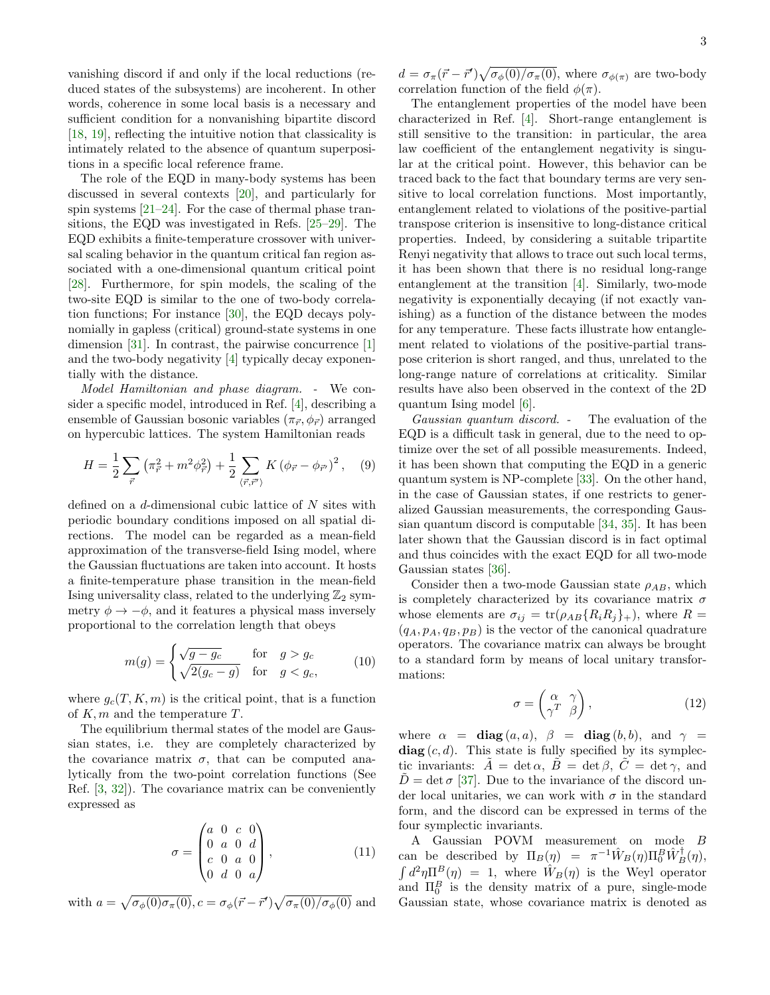vanishing discord if and only if the local reductions (reduced states of the subsystems) are incoherent. In other words, coherence in some local basis is a necessary and sufficient condition for a nonvanishing bipartite discord [\[18,](#page-4-16) [19\]](#page-4-17), reflecting the intuitive notion that classicality is intimately related to the absence of quantum superpositions in a specific local reference frame.

The role of the EQD in many-body systems has been discussed in several contexts [\[20\]](#page-4-18), and particularly for spin systems [\[21–](#page-4-19)[24\]](#page-4-20). For the case of thermal phase transitions, the EQD was investigated in Refs. [\[25–](#page-4-21)[29\]](#page-5-0). The EQD exhibits a finite-temperature crossover with universal scaling behavior in the quantum critical fan region associated with a one-dimensional quantum critical point [\[28\]](#page-5-1). Furthermore, for spin models, the scaling of the two-site EQD is similar to the one of two-body correlation functions; For instance [\[30\]](#page-5-2), the EQD decays polynomially in gapless (critical) ground-state systems in one dimension [\[31\]](#page-5-3). In contrast, the pairwise concurrence [\[1\]](#page-4-0) and the two-body negativity [\[4\]](#page-4-8) typically decay exponentially with the distance.

Model Hamiltonian and phase diagram. - We consider a specific model, introduced in Ref. [\[4\]](#page-4-8), describing a ensemble of Gaussian bosonic variables  $(\pi_{\vec{r}}, \phi_{\vec{r}})$  arranged on hypercubic lattices. The system Hamiltonian reads

<span id="page-2-0"></span>
$$
H = \frac{1}{2} \sum_{\vec{r}} \left( \pi_{\vec{r}}^2 + m^2 \phi_{\vec{r}}^2 \right) + \frac{1}{2} \sum_{\langle \vec{r}, \vec{r}^{\prime} \rangle} K \left( \phi_{\vec{r}} - \phi_{\vec{r}^{\prime}} \right)^2, \quad (9)
$$

defined on a d-dimensional cubic lattice of N sites with periodic boundary conditions imposed on all spatial directions. The model can be regarded as a mean-field approximation of the transverse-field Ising model, where the Gaussian fluctuations are taken into account. It hosts a finite-temperature phase transition in the mean-field Ising universality class, related to the underlying  $\mathbb{Z}_2$  symmetry  $\phi \rightarrow -\phi$ , and it features a physical mass inversely proportional to the correlation length that obeys

$$
m(g) = \begin{cases} \sqrt{g - g_c} & \text{for } g > g_c \\ \sqrt{2(g_c - g)} & \text{for } g < g_c, \end{cases}
$$
 (10)

where  $g_c(T, K, m)$  is the critical point, that is a function of  $K, m$  and the temperature  $T$ .

The equilibrium thermal states of the model are Gaussian states, i.e. they are completely characterized by the covariance matrix  $\sigma$ , that can be computed analytically from the two-point correlation functions (See Ref. [\[3,](#page-4-2) [32\]](#page-5-4)). The covariance matrix can be conveniently expressed as

$$
\sigma = \begin{pmatrix} a & 0 & c & 0 \\ 0 & a & 0 & d \\ c & 0 & a & 0 \\ 0 & d & 0 & a \end{pmatrix}, \tag{11}
$$

with  $a = \sqrt{\sigma_{\phi}(0)\sigma_{\pi}(0)}$ ,  $c = \sigma_{\phi}(\vec{r} - \vec{r}')\sqrt{\sigma_{\pi}(0)/\sigma_{\phi}(0)}$  and

 $d = \sigma_{\pi}(\vec{r} - \vec{r}')\sqrt{\sigma_{\phi}(0)/\sigma_{\pi}(0)}$ , where  $\sigma_{\phi(\pi)}$  are two-body correlation function of the field  $\phi(\pi)$ .

The entanglement properties of the model have been characterized in Ref. [\[4\]](#page-4-8). Short-range entanglement is still sensitive to the transition: in particular, the area law coefficient of the entanglement negativity is singular at the critical point. However, this behavior can be traced back to the fact that boundary terms are very sensitive to local correlation functions. Most importantly, entanglement related to violations of the positive-partial transpose criterion is insensitive to long-distance critical properties. Indeed, by considering a suitable tripartite Renyi negativity that allows to trace out such local terms, it has been shown that there is no residual long-range entanglement at the transition [\[4\]](#page-4-8). Similarly, two-mode negativity is exponentially decaying (if not exactly vanishing) as a function of the distance between the modes for any temperature. These facts illustrate how entanglement related to violations of the positive-partial transpose criterion is short ranged, and thus, unrelated to the long-range nature of correlations at criticality. Similar results have also been observed in the context of the 2D quantum Ising model [\[6\]](#page-4-3).

Gaussian quantum discord. - The evaluation of the EQD is a difficult task in general, due to the need to optimize over the set of all possible measurements. Indeed, it has been shown that computing the EQD in a generic quantum system is NP-complete [\[33\]](#page-5-5). On the other hand, in the case of Gaussian states, if one restricts to generalized Gaussian measurements, the corresponding Gaussian quantum discord is computable [\[34,](#page-5-6) [35\]](#page-5-7). It has been later shown that the Gaussian discord is in fact optimal and thus coincides with the exact EQD for all two-mode Gaussian states [\[36\]](#page-5-8).

Consider then a two-mode Gaussian state  $\rho_{AB}$ , which is completely characterized by its covariance matrix  $\sigma$ whose elements are  $\sigma_{ij} = \text{tr}(\rho_{AB} \{R_i R_j \}_+)$ , where  $R =$  $(q_A, p_A, q_B, p_B)$  is the vector of the canonical quadrature operators. The covariance matrix can always be brought to a standard form by means of local unitary transformations:

$$
\sigma = \begin{pmatrix} \alpha & \gamma \\ \gamma^T & \beta \end{pmatrix},\tag{12}
$$

where  $\alpha = \text{diag}(a, a), \ \beta = \text{diag}(b, b), \text{and } \gamma =$  $diag(c, d)$ . This state is fully specified by its symplectic invariants:  $A = \det \alpha$ ,  $B = \det \beta$ ,  $C = \det \gamma$ , and  $\tilde{D} = \det \sigma$  [\[37\]](#page-5-9). Due to the invariance of the discord under local unitaries, we can work with  $\sigma$  in the standard form, and the discord can be expressed in terms of the four symplectic invariants.

A Gaussian POVM measurement on mode B can be described by  $\Pi_B(\eta) = \pi^{-1} \hat{W}_B(\eta) \Pi_0^B \hat{W}_B^{\dagger}(\eta)$ ,  $\int d^2\eta \Pi^B(\eta) = 1$ , where  $\hat{W}_B(\eta)$  is the Weyl operator and  $\Pi_0^B$  is the density matrix of a pure, single-mode Gaussian state, whose covariance matrix is denoted as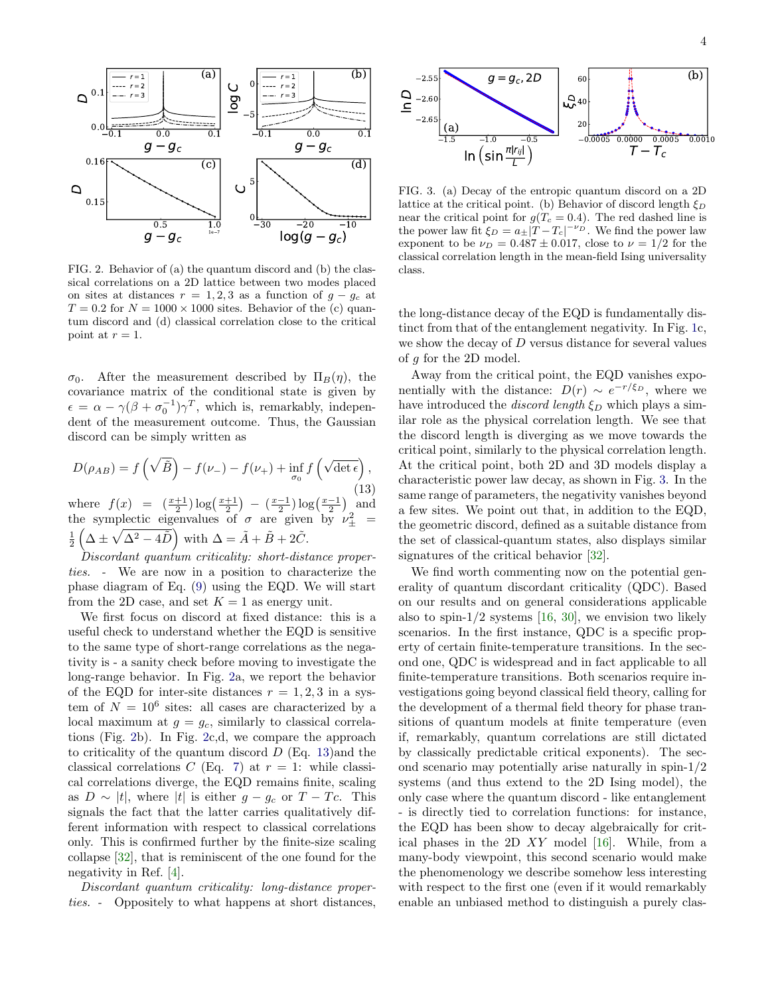

<span id="page-3-0"></span>FIG. 2. Behavior of (a) the quantum discord and (b) the classical correlations on a 2D lattice between two modes placed on sites at distances  $r = 1, 2, 3$  as a function of  $g - g_c$  at  $T = 0.2$  for  $N = 1000 \times 1000$  sites. Behavior of the (c) quantum discord and (d) classical correlation close to the critical point at  $r=1$ .

 $\sigma_0$ . After the measurement described by  $\Pi_B(\eta)$ , the covariance matrix of the conditional state is given by  $\epsilon = \alpha - \gamma(\beta + \sigma_0^{-1})\gamma^T$ , which is, remarkably, independent of the measurement outcome. Thus, the Gaussian discord can be simply written as

<span id="page-3-1"></span>
$$
D(\rho_{AB}) = f\left(\sqrt{\tilde{B}}\right) - f(\nu_{-}) - f(\nu_{+}) + \inf_{\sigma_{0}} f\left(\sqrt{\det\epsilon}\right),
$$
  
where  $f(x) = \left(\frac{x+1}{2}\right) \log\left(\frac{x+1}{2}\right) - \left(\frac{x-1}{2}\right) \log\left(\frac{x-1}{2}\right)$  and

where  $f(x) = (\frac{2}{2}) \log(\frac{2}{2})$  ( $\frac{2}{2} \log(\frac{2}{2})$  and<br>the symplectic eigenvalues of  $\sigma$  are given by  $\nu_{\pm}^2$  =  $\frac{1}{2} \left( \Delta \pm \sqrt{\Delta^2 - 4\tilde{D}} \right)$  with  $\Delta = \tilde{A} + \tilde{B} + 2\tilde{C}$ .

 $Discordant$  quantum criticality: short-distance properties. - We are now in a position to characterize the phase diagram of Eq. [\(9\)](#page-2-0) using the EQD. We will start from the 2D case, and set  $K = 1$  as energy unit.

We first focus on discord at fixed distance: this is a useful check to understand whether the EQD is sensitive to the same type of short-range correlations as the negativity is - a sanity check before moving to investigate the long-range behavior. In Fig. [2a](#page-3-0), we report the behavior of the EQD for inter-site distances  $r = 1, 2, 3$  in a system of  $N = 10^6$  sites: all cases are characterized by a local maximum at  $g = g_c$ , similarly to classical correlations (Fig. [2b](#page-3-0)). In Fig. [2c](#page-3-0),d, we compare the approach to criticality of the quantum discord  $D$  (Eq. [13\)](#page-3-1) and the classical correlations C (Eq. [7\)](#page-1-2) at  $r = 1$ : while classical correlations diverge, the EQD remains finite, scaling as  $D \sim |t|$ , where |t| is either  $g - g_c$  or  $T - T_c$ . This signals the fact that the latter carries qualitatively different information with respect to classical correlations only. This is confirmed further by the finite-size scaling collapse [\[32\]](#page-5-4), that is reminiscent of the one found for the negativity in Ref. [\[4\]](#page-4-8). 61.8  $\theta = g_c$ <br>
and  $\theta = g_c$ <br>
and  $\theta = g_c$ <br>
and  $\theta = g_c$ <br>
and the case of the end of the spatial set of the case of the case of the short distances, the short of (b) and the case of the signature of (b) the short distance (b)

Discordant quantum criticality: long-distance proper-



<span id="page-3-2"></span>FIG. 3. (a) Decay of the entropic quantum discord on a 2D lattice at the critical point. (b) Behavior of discord length  $\xi_D$ near the critical point for  $g(T_c = 0.4)$ . The red dashed line is the power law fit  $\xi_D = a_{\pm} |T - T_c|^{-\nu_D}$ . We find the power law exponent to be  $\nu_D = 0.487 \pm 0.017$ , close to  $\nu = 1/2$  for the classical correlation length in the mean-field Ising universality class.

the long-distance decay of the EQD is fundamentally distinct from that of the entanglement negativity. In Fig. [1c](#page-0-0), we show the decay of  $D$  versus distance for several values of g for the 2D model.

Away from the critical point, the EQD vanishes exponentially with the distance:  $D(r) \sim e^{-r/\xi_D}$ , where we have introduced the *discord length*  $\xi_D$  which plays a similar role as the physical correlation length. We see that the discord length is diverging as we move towards the critical point, similarly to the physical correlation length. At the critical point, both 2D and 3D models display a characteristic power law decay, as shown in Fig. [3.](#page-3-2) In the same range of parameters, the negativity vanishes beyond a few sites. We point out that, in addition to the EQD, the geometric discord, defined as a suitable distance from the set of classical-quantum states, also displays similar signatures of the critical behavior [\[32\]](#page-5-4).

We find worth commenting now on the potential generality of quantum discordant criticality (QDC). Based on our results and on general considerations applicable also to spin- $1/2$  systems [\[16,](#page-4-14) [30\]](#page-5-2), we envision two likely scenarios. In the first instance, QDC is a specific property of certain finite-temperature transitions. In the second one, QDC is widespread and in fact applicable to all finite-temperature transitions. Both scenarios require investigations going beyond classical field theory, calling for the development of a thermal field theory for phase transitions of quantum models at finite temperature (even if, remarkably, quantum correlations are still dictated by classically predictable critical exponents). The second scenario may potentially arise naturally in spin-1/2 systems (and thus extend to the 2D Ising model), the only case where the quantum discord - like entanglement - is directly tied to correlation functions: for instance, the EQD has been show to decay algebraically for critical phases in the 2D  $XY$  model [\[16\]](#page-4-14). While, from a many-body viewpoint, this second scenario would make the phenomenology we describe somehow less interesting with respect to the first one (even if it would remarkably enable an unbiased method to distinguish a purely clas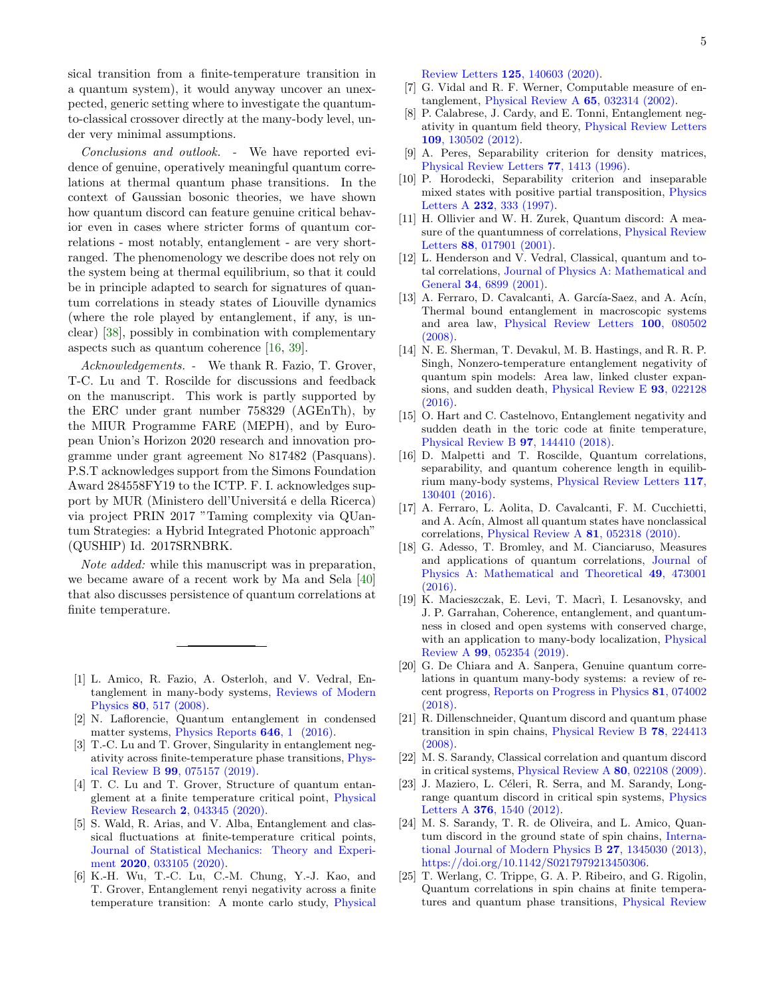sical transition from a finite-temperature transition in a quantum system), it would anyway uncover an unexpected, generic setting where to investigate the quantumto-classical crossover directly at the many-body level, under very minimal assumptions.

Conclusions and outlook. - We have reported evidence of genuine, operatively meaningful quantum correlations at thermal quantum phase transitions. In the context of Gaussian bosonic theories, we have shown how quantum discord can feature genuine critical behavior even in cases where stricter forms of quantum correlations - most notably, entanglement - are very shortranged. The phenomenology we describe does not rely on the system being at thermal equilibrium, so that it could be in principle adapted to search for signatures of quantum correlations in steady states of Liouville dynamics (where the role played by entanglement, if any, is unclear) [\[38\]](#page-5-10), possibly in combination with complementary aspects such as quantum coherence [\[16,](#page-4-14) [39\]](#page-5-11).

Acknowledgements. - We thank R. Fazio, T. Grover, T-C. Lu and T. Roscilde for discussions and feedback on the manuscript. This work is partly supported by the ERC under grant number 758329 (AGEnTh), by the MIUR Programme FARE (MEPH), and by European Union's Horizon 2020 research and innovation programme under grant agreement No 817482 (Pasquans). P.S.T acknowledges support from the Simons Foundation Award 284558FY19 to the ICTP. F. I. acknowledges support by MUR (Ministero dell'Università e della Ricerca) via project PRIN 2017 "Taming complexity via QUantum Strategies: a Hybrid Integrated Photonic approach" (QUSHIP) Id. 2017SRNBRK.

Note added: while this manuscript was in preparation, we became aware of a recent work by Ma and Sela [\[40\]](#page-5-12) that also discusses persistence of quantum correlations at finite temperature.

- <span id="page-4-0"></span>[1] L. Amico, R. Fazio, A. Osterloh, and V. Vedral, Entanglement in many-body systems, [Reviews of Modern](https://doi.org/10.1103/RevModPhys.80.517) Physics 80[, 517 \(2008\).](https://doi.org/10.1103/RevModPhys.80.517)
- <span id="page-4-1"></span>[2] N. Laflorencie, Quantum entanglement in condensed matter systems, [Physics Reports](https://doi.org/10.1016/j.physrep.2016.06.008) **646**, 1 (2016).
- <span id="page-4-2"></span>[3] T.-C. Lu and T. Grover, Singularity in entanglement negativity across finite-temperature phase transitions, [Phys](https://doi.org/10.1103/physrevb.99.075157)ical Review B 99[, 075157 \(2019\).](https://doi.org/10.1103/physrevb.99.075157)
- <span id="page-4-8"></span>[4] T. C. Lu and T. Grover, Structure of quantum entanglement at a finite temperature critical point, [Physical](https://doi.org/10.1103/PhysRevResearch.2.043345) [Review Research](https://doi.org/10.1103/PhysRevResearch.2.043345) 2, 043345 (2020).
- <span id="page-4-11"></span>[5] S. Wald, R. Arias, and V. Alba, Entanglement and classical fluctuations at finite-temperature critical points, [Journal of Statistical Mechanics: Theory and Experi](https://doi.org/10.1088/1742-5468/ab6b19)ment 2020[, 033105 \(2020\).](https://doi.org/10.1088/1742-5468/ab6b19)
- <span id="page-4-3"></span>[6] K.-H. Wu, T.-C. Lu, C.-M. Chung, Y.-J. Kao, and T. Grover, Entanglement renyi negativity across a finite temperature transition: A monte carlo study, [Physical](https://doi.org/10.1103/physrevlett.125.140603)

Review Letters 125[, 140603 \(2020\).](https://doi.org/10.1103/physrevlett.125.140603)

- <span id="page-4-4"></span>[7] G. Vidal and R. F. Werner, Computable measure of entanglement, [Physical Review A](https://doi.org/10.1103/PhysRevA.65.032314) 65, 032314 (2002).
- <span id="page-4-5"></span>[8] P. Calabrese, J. Cardy, and E. Tonni, Entanglement negativity in quantum field theory, [Physical Review Letters](https://doi.org/10.1103/PhysRevLett.109.130502) 109[, 130502 \(2012\).](https://doi.org/10.1103/PhysRevLett.109.130502)
- <span id="page-4-6"></span>[9] A. Peres, Separability criterion for density matrices, [Physical Review Letters](https://doi.org/10.1103/PhysRevLett.77.1413) 77, 1413 (1996).
- <span id="page-4-7"></span>[10] P. Horodecki, Separability criterion and inseparable mixed states with positive partial transposition, [Physics](https://doi.org/https://doi.org/10.1016/S0375-9601(97)00416-7) Letters A 232[, 333 \(1997\).](https://doi.org/https://doi.org/10.1016/S0375-9601(97)00416-7)
- <span id="page-4-9"></span>[11] H. Ollivier and W. H. Zurek, Quantum discord: A measure of the quantumness of correlations, [Physical Review](https://doi.org/10.1103/physrevlett.88.017901) Letters 88[, 017901 \(2001\).](https://doi.org/10.1103/physrevlett.88.017901)
- <span id="page-4-10"></span>[12] L. Henderson and V. Vedral, Classical, quantum and total correlations, [Journal of Physics A: Mathematical and](https://doi.org/10.1088/0305-4470/34/35/315) General 34[, 6899 \(2001\).](https://doi.org/10.1088/0305-4470/34/35/315)
- <span id="page-4-12"></span>[13] A. Ferraro, D. Cavalcanti, A. García-Saez, and A. Acín, Thermal bound entanglement in macroscopic systems and area law, [Physical Review Letters](https://doi.org/10.1103/PhysRevLett.100.080502) 100, 080502 [\(2008\).](https://doi.org/10.1103/PhysRevLett.100.080502)
- [14] N. E. Sherman, T. Devakul, M. B. Hastings, and R. R. P. Singh, Nonzero-temperature entanglement negativity of quantum spin models: Area law, linked cluster expansions, and sudden death, [Physical Review E](https://doi.org/10.1103/physreve.93.022128) 93, 022128 [\(2016\).](https://doi.org/10.1103/physreve.93.022128)
- <span id="page-4-13"></span>[15] O. Hart and C. Castelnovo, Entanglement negativity and sudden death in the toric code at finite temperature, [Physical Review B](https://doi.org/10.1103/physrevb.97.144410) 97, 144410 (2018).
- <span id="page-4-14"></span>[16] D. Malpetti and T. Roscilde, Quantum correlations, separability, and quantum coherence length in equilibrium many-body systems, [Physical Review Letters](https://doi.org/10.1103/PhysRevLett.117.130401) 117, [130401 \(2016\).](https://doi.org/10.1103/PhysRevLett.117.130401)
- <span id="page-4-15"></span>[17] A. Ferraro, L. Aolita, D. Cavalcanti, F. M. Cucchietti, and A. Acín, Almost all quantum states have nonclassical correlations, [Physical Review A](https://doi.org/10.1103/physreva.81.052318) 81, 052318 (2010).
- <span id="page-4-16"></span>[18] G. Adesso, T. Bromley, and M. Cianciaruso, Measures and applications of quantum correlations, [Journal of](https://doi.org/10.1088/1751-8113/49/47/473001) [Physics A: Mathematical and Theoretical](https://doi.org/10.1088/1751-8113/49/47/473001) 49, 473001 [\(2016\).](https://doi.org/10.1088/1751-8113/49/47/473001)
- <span id="page-4-17"></span>[19] K. Macieszczak, E. Levi, T. Macrì, I. Lesanovsky, and J. P. Garrahan, Coherence, entanglement, and quantumness in closed and open systems with conserved charge, with an application to many-body localization, [Physical](https://doi.org/10.1103/PhysRevA.99.052354) Review A 99[, 052354 \(2019\).](https://doi.org/10.1103/PhysRevA.99.052354)
- <span id="page-4-18"></span>[20] G. De Chiara and A. Sanpera, Genuine quantum correlations in quantum many-body systems: a review of recent progress, [Reports on Progress in Physics](https://doi.org/10.1088/1361-6633/aabf61) 81, 074002 [\(2018\).](https://doi.org/10.1088/1361-6633/aabf61)
- <span id="page-4-19"></span>[21] R. Dillenschneider, Quantum discord and quantum phase transition in spin chains, [Physical Review B](https://doi.org/10.1103/PhysRevB.78.224413) 78, 224413 [\(2008\).](https://doi.org/10.1103/PhysRevB.78.224413)
- [22] M. S. Sarandy, Classical correlation and quantum discord in critical systems, [Physical Review A](https://doi.org/10.1103/PhysRevA.80.022108) 80, 022108 (2009).
- [23] J. Maziero, L. Céleri, R. Serra, and M. Sarandy, Longrange quantum discord in critical spin systems, [Physics](https://doi.org/https://doi.org/10.1016/j.physleta.2012.03.029) Letters A 376[, 1540 \(2012\).](https://doi.org/https://doi.org/10.1016/j.physleta.2012.03.029)
- <span id="page-4-20"></span>[24] M. S. Sarandy, T. R. de Oliveira, and L. Amico, Quantum discord in the ground state of spin chains, [Interna](https://doi.org/10.1142/S0217979213450306)[tional Journal of Modern Physics B](https://doi.org/10.1142/S0217979213450306) 27, 1345030 (2013), [https://doi.org/10.1142/S0217979213450306.](https://arxiv.org/abs/https://doi.org/10.1142/S0217979213450306)
- <span id="page-4-21"></span>[25] T. Werlang, C. Trippe, G. A. P. Ribeiro, and G. Rigolin, Quantum correlations in spin chains at finite temperatures and quantum phase transitions, [Physical Review](https://doi.org/10.1103/PhysRevLett.105.095702)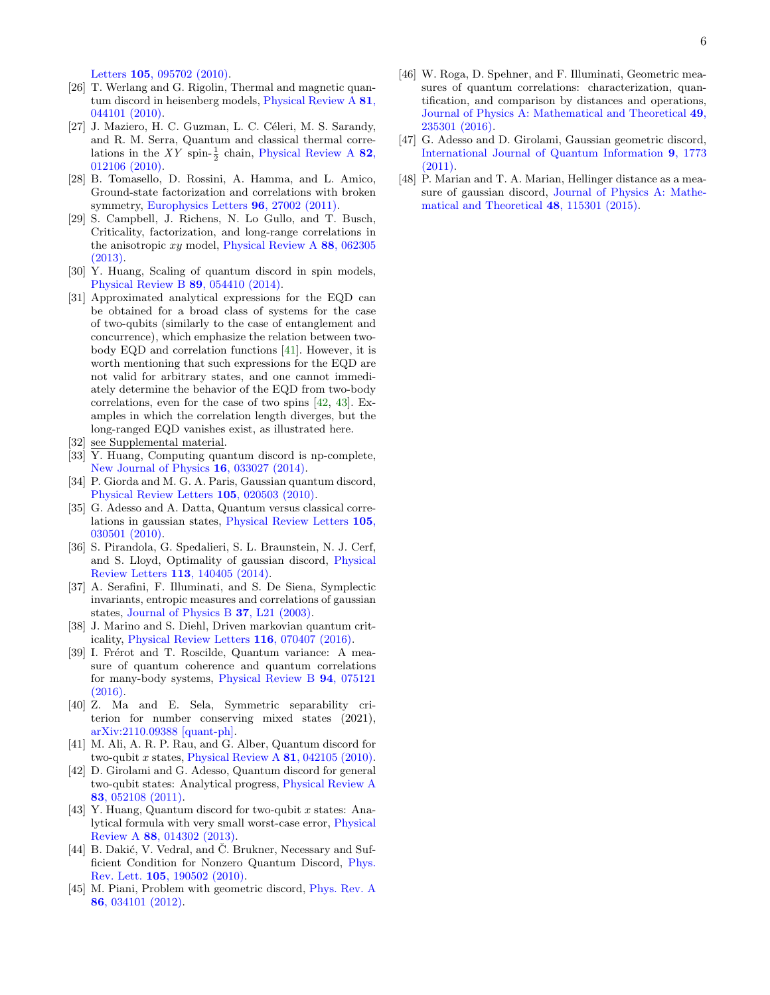Letters 105[, 095702 \(2010\).](https://doi.org/10.1103/PhysRevLett.105.095702)

- [26] T. Werlang and G. Rigolin, Thermal and magnetic quantum discord in heisenberg models, [Physical Review A](https://doi.org/10.1103/PhysRevA.81.044101) 81, [044101 \(2010\).](https://doi.org/10.1103/PhysRevA.81.044101)
- [27] J. Maziero, H. C. Guzman, L. C. Céleri, M. S. Sarandy, and R. M. Serra, Quantum and classical thermal correlations in the  $XY$  spin- $\frac{1}{2}$  chain, [Physical Review A](https://doi.org/10.1103/PhysRevA.82.012106) 82, [012106 \(2010\).](https://doi.org/10.1103/PhysRevA.82.012106)
- <span id="page-5-1"></span>[28] B. Tomasello, D. Rossini, A. Hamma, and L. Amico, Ground-state factorization and correlations with broken symmetry, [Europhysics Letters](https://doi.org/10.1209/0295-5075/96/27002) 96, 27002 (2011).
- <span id="page-5-0"></span>[29] S. Campbell, J. Richens, N. Lo Gullo, and T. Busch, Criticality, factorization, and long-range correlations in the anisotropic  $xy$  model, [Physical Review A](https://doi.org/10.1103/PhysRevA.88.062305) 88, 062305 [\(2013\).](https://doi.org/10.1103/PhysRevA.88.062305)
- <span id="page-5-2"></span>[30] Y. Huang, Scaling of quantum discord in spin models, [Physical Review B](https://doi.org/10.1103/PhysRevB.89.054410) 89, 054410 (2014).
- <span id="page-5-3"></span>[31] Approximated analytical expressions for the EQD can be obtained for a broad class of systems for the case of two-qubits (similarly to the case of entanglement and concurrence), which emphasize the relation between twobody EQD and correlation functions [\[41\]](#page-5-13). However, it is worth mentioning that such expressions for the EQD are not valid for arbitrary states, and one cannot immediately determine the behavior of the EQD from two-body correlations, even for the case of two spins [\[42,](#page-5-14) [43\]](#page-5-15). Examples in which the correlation length diverges, but the long-ranged EQD vanishes exist, as illustrated here.
- <span id="page-5-4"></span>[32] see Supplemental material.
- <span id="page-5-5"></span>[33] Y. Huang, Computing quantum discord is np-complete, [New Journal of Physics](https://doi.org/10.1088/1367-2630/16/3/033027) 16, 033027 (2014).
- <span id="page-5-6"></span>[34] P. Giorda and M. G. A. Paris, Gaussian quantum discord, [Physical Review Letters](https://doi.org/10.1103/physrevlett.105.020503) 105, 020503 (2010).
- <span id="page-5-7"></span>[35] G. Adesso and A. Datta, Quantum versus classical correlations in gaussian states, [Physical Review Letters](https://doi.org/10.1103/physrevlett.105.030501) 105, [030501 \(2010\).](https://doi.org/10.1103/physrevlett.105.030501)
- <span id="page-5-8"></span>[36] S. Pirandola, G. Spedalieri, S. L. Braunstein, N. J. Cerf, and S. Lloyd, Optimality of gaussian discord, [Physical](https://doi.org/10.1103/PhysRevLett.113.140405) Review Letters 113[, 140405 \(2014\).](https://doi.org/10.1103/PhysRevLett.113.140405)
- <span id="page-5-9"></span>[37] A. Serafini, F. Illuminati, and S. De Siena, Symplectic invariants, entropic measures and correlations of gaussian states, [Journal of Physics B](https://doi.org/10.1088/0953-4075/37/2/L02) 37, L21 (2003).
- <span id="page-5-10"></span>[38] J. Marino and S. Diehl, Driven markovian quantum criticality, [Physical Review Letters](https://doi.org/10.1103/PhysRevLett.116.070407) 116, 070407 (2016).
- <span id="page-5-11"></span>[39] I. Frérot and T. Roscilde, Quantum variance: A measure of quantum coherence and quantum correlations for many-body systems, [Physical Review B](https://doi.org/10.1103/physrevb.94.075121) 94, 075121 [\(2016\).](https://doi.org/10.1103/physrevb.94.075121)
- <span id="page-5-12"></span>[40] Z. Ma and E. Sela, Symmetric separability criterion for number conserving mixed states (2021), [arXiv:2110.09388 \[quant-ph\].](https://arxiv.org/abs/2110.09388)
- <span id="page-5-13"></span>[41] M. Ali, A. R. P. Rau, and G. Alber, Quantum discord for two-qubit x states, [Physical Review A](https://doi.org/10.1103/PhysRevA.81.042105)  $81$ , 042105 (2010).
- <span id="page-5-14"></span>[42] D. Girolami and G. Adesso, Quantum discord for general two-qubit states: Analytical progress, [Physical Review A](https://doi.org/10.1103/PhysRevA.83.052108) 83[, 052108 \(2011\).](https://doi.org/10.1103/PhysRevA.83.052108)
- <span id="page-5-15"></span>[43] Y. Huang, Quantum discord for two-qubit x states: Analytical formula with very small worst-case error, [Physical](https://doi.org/10.1103/PhysRevA.88.014302) Review A 88[, 014302 \(2013\).](https://doi.org/10.1103/PhysRevA.88.014302)
- <span id="page-5-16"></span>[44] B. Dakić, V. Vedral, and Č. Brukner, Necessary and Sufficient Condition for Nonzero Quantum Discord, [Phys.](https://doi.org/10.1103/PhysRevLett.105.190502) Rev. Lett. 105[, 190502 \(2010\).](https://doi.org/10.1103/PhysRevLett.105.190502)
- <span id="page-5-17"></span>[45] M. Piani, Problem with geometric discord, [Phys. Rev. A](https://doi.org/10.1103/PhysRevA.86.034101) 86[, 034101 \(2012\).](https://doi.org/10.1103/PhysRevA.86.034101)
- <span id="page-5-18"></span>[46] W. Roga, D. Spehner, and F. Illuminati, Geometric measures of quantum correlations: characterization, quantification, and comparison by distances and operations, [Journal of Physics A: Mathematical and Theoretical](https://doi.org/10.1088/1751-8113/49/23/235301) 49, [235301 \(2016\).](https://doi.org/10.1088/1751-8113/49/23/235301)
- <span id="page-5-19"></span>[47] G. Adesso and D. Girolami, Gaussian geometric discord, [International Journal of Quantum Information](https://doi.org/10.1142/s0219749911008192) 9, 1773 [\(2011\).](https://doi.org/10.1142/s0219749911008192)
- <span id="page-5-20"></span>[48] P. Marian and T. A. Marian, Hellinger distance as a measure of gaussian discord, [Journal of Physics A: Mathe](https://doi.org/10.1088/1751-8113/48/11/115301)[matical and Theoretical](https://doi.org/10.1088/1751-8113/48/11/115301) 48, 115301 (2015).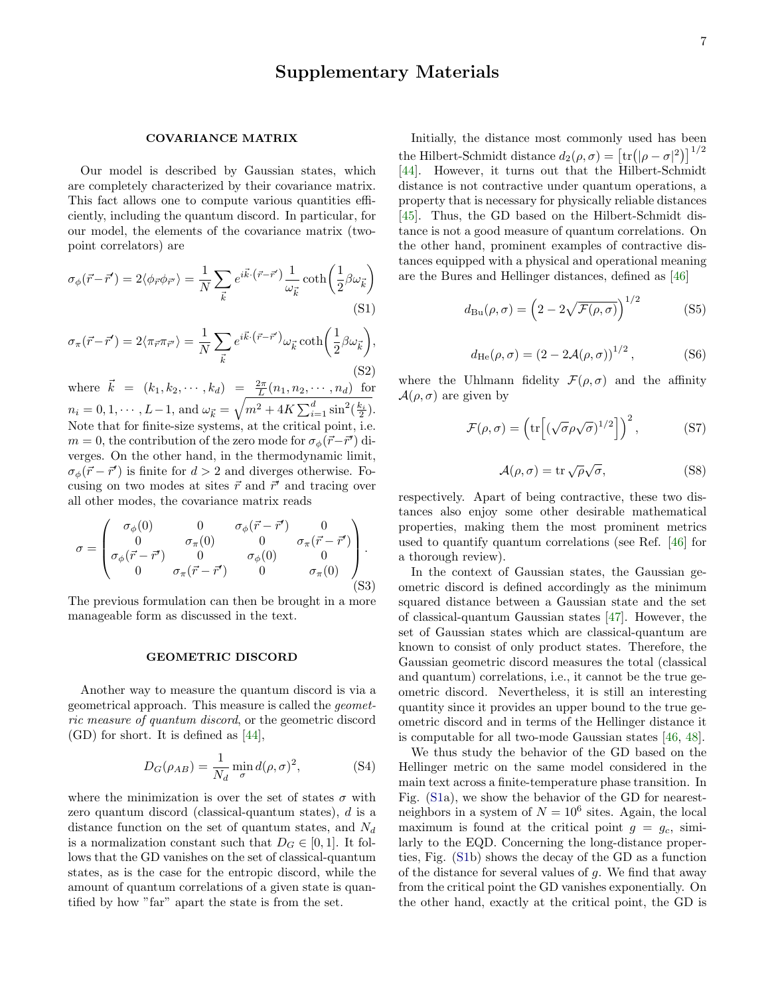# Supplementary Materials

## COVARIANCE MATRIX

Our model is described by Gaussian states, which are completely characterized by their covariance matrix. This fact allows one to compute various quantities efficiently, including the quantum discord. In particular, for our model, the elements of the covariance matrix (twopoint correlators) are

$$
\sigma_{\phi}(\vec{r} - \vec{r}') = 2 \langle \phi_{\vec{r}} \phi_{\vec{r}'} \rangle = \frac{1}{N} \sum_{\vec{k}} e^{i\vec{k} \cdot (\vec{r} - \vec{r}')} \frac{1}{\omega_{\vec{k}}} \coth\left(\frac{1}{2}\beta \omega_{\vec{k}}\right)
$$
\n(S1)

$$
\sigma_{\pi}(\vec{r} - \vec{r}') = 2 \langle \pi_{\vec{r}} \pi_{\vec{r}'} \rangle = \frac{1}{N} \sum_{\vec{k}} e^{i\vec{k} \cdot (\vec{r} - \vec{r}')} \omega_{\vec{k}} \coth\left(\frac{1}{2} \beta \omega_{\vec{k}}\right),\tag{S2}
$$

where  $\vec{k} = (k_1, k_2, \dots, k_d) = \frac{2\pi}{L}(n_1, n_2, \dots, n_d)$  for  $n_i = 0, 1, \cdots, L-1$ , and  $\omega_{\vec{k}} = \sqrt{m^2 + 4K \sum_{i=1}^d \sin^2(\frac{k_i}{2})}$ . Note that for finite-size systems, at the critical point, i.e.  $m = 0$ , the contribution of the zero mode for  $\sigma_{\phi}(\vec{r} - \vec{r}')$  diverges. On the other hand, in the thermodynamic limit,  $\sigma_{\phi}(\vec{r} - \vec{r}')$  is finite for  $d > 2$  and diverges otherwise. Focusing on two modes at sites  $\vec{r}$  and  $\vec{r}$  and tracing over all other modes, the covariance matrix reads

$$
\sigma = \begin{pmatrix}\n\sigma_{\phi}(0) & 0 & \sigma_{\phi}(\vec{r} - \vec{r}') & 0 \\
0 & \sigma_{\pi}(0) & 0 & \sigma_{\pi}(\vec{r} - \vec{r}') \\
\sigma_{\phi}(\vec{r} - \vec{r}') & 0 & \sigma_{\phi}(0) & 0 \\
0 & \sigma_{\pi}(\vec{r} - \vec{r}') & 0 & \sigma_{\pi}(0)\n\end{pmatrix}.
$$
\n(S3)

The previous formulation can then be brought in a more manageable form as discussed in the text.

#### GEOMETRIC DISCORD

Another way to measure the quantum discord is via a geometrical approach. This measure is called the geometric measure of quantum discord, or the geometric discord (GD) for short. It is defined as [\[44\]](#page-5-16),

$$
D_G(\rho_{AB}) = \frac{1}{N_d} \min_{\sigma} d(\rho, \sigma)^2,
$$
 (S4)

where the minimization is over the set of states  $\sigma$  with zero quantum discord (classical-quantum states), d is a distance function on the set of quantum states, and  $N_d$ is a normalization constant such that  $D_G \in [0,1]$ . It follows that the GD vanishes on the set of classical-quantum states, as is the case for the entropic discord, while the amount of quantum correlations of a given state is quantified by how "far" apart the state is from the set.

Initially, the distance most commonly used has been the Hilbert-Schmidt distance  $d_2(\rho, \sigma) = [\text{tr}(|\rho - \sigma|^2)]^{1/2}$ [\[44\]](#page-5-16). However, it turns out that the Hilbert-Schmidt distance is not contractive under quantum operations, a property that is necessary for physically reliable distances [\[45\]](#page-5-17). Thus, the GD based on the Hilbert-Schmidt distance is not a good measure of quantum correlations. On the other hand, prominent examples of contractive distances equipped with a physical and operational meaning are the Bures and Hellinger distances, defined as [\[46\]](#page-5-18)

$$
d_{\text{Bu}}(\rho, \sigma) = \left(2 - 2\sqrt{\mathcal{F}(\rho, \sigma)}\right)^{1/2} \tag{S5}
$$

$$
d_{\text{He}}(\rho, \sigma) = (2 - 2\mathcal{A}(\rho, \sigma))^{1/2}, \quad (S6)
$$

where the Uhlmann fidelity  $\mathcal{F}(\rho, \sigma)$  and the affinity  $\mathcal{A}(\rho, \sigma)$  are given by

$$
\mathcal{F}(\rho,\sigma) = \left(\text{tr}\left[ (\sqrt{\sigma} \rho \sqrt{\sigma})^{1/2} \right] \right)^2, \tag{S7}
$$

$$
\mathcal{A}(\rho,\sigma) = \text{tr}\,\sqrt{\rho}\sqrt{\sigma},\tag{S8}
$$

respectively. Apart of being contractive, these two distances also enjoy some other desirable mathematical properties, making them the most prominent metrics used to quantify quantum correlations (see Ref. [\[46\]](#page-5-18) for a thorough review).

In the context of Gaussian states, the Gaussian geometric discord is defined accordingly as the minimum squared distance between a Gaussian state and the set of classical-quantum Gaussian states [\[47\]](#page-5-19). However, the set of Gaussian states which are classical-quantum are known to consist of only product states. Therefore, the Gaussian geometric discord measures the total (classical and quantum) correlations, i.e., it cannot be the true geometric discord. Nevertheless, it is still an interesting quantity since it provides an upper bound to the true geometric discord and in terms of the Hellinger distance it is computable for all two-mode Gaussian states [\[46,](#page-5-18) [48\]](#page-5-20).

We thus study the behavior of the GD based on the Hellinger metric on the same model considered in the main text across a finite-temperature phase transition. In Fig. [\(S1a](#page-0-0)), we show the behavior of the GD for nearestneighbors in a system of  $N = 10^6$  sites. Again, the local maximum is found at the critical point  $g = g_c$ , similarly to the EQD. Concerning the long-distance properties, Fig. [\(S1b](#page-0-0)) shows the decay of the GD as a function of the distance for several values of g. We find that away from the critical point the GD vanishes exponentially. On the other hand, exactly at the critical point, the GD is